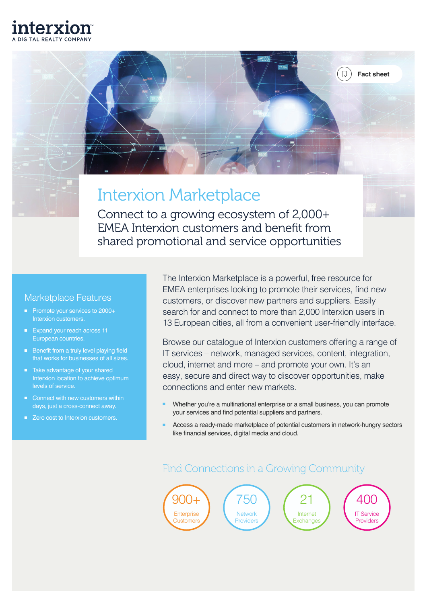



Connect to a growing ecosystem of 2,000+ EMEA Interxion customers and benefit from shared promotional and service opportunities

#### Marketplace Features

- Promote your services to 2000+ Interxion customers.
- Expand your reach across 11 European countries.
- Benefit from a truly level playing field that works for businesses of all sizes.
- Take advantage of your shared Interxion location to achieve optimum levels of service.
- Connect with new customers within days, just a cross-connect away.
- **Zero cost to Interxion customers.**

The Interxion Marketplace is a powerful, free resource for EMEA enterprises looking to promote their services, find new customers, or discover new partners and suppliers. Easily search for and connect to more than 2,000 Interxion users in 13 European cities, all from a convenient user-friendly interface.

**Fact sheet**

 $\Box$ 

Browse our catalogue of Interxion customers offering a range of IT services – network, managed services, content, integration, cloud, internet and more – and promote your own. It's an easy, secure and direct way to discover opportunities, make connections and enter new markets.

- Whether you're a multinational enterprise or a small business, you can promote your services and find potential suppliers and partners.
- Access a ready-made marketplace of potential customers in network-hungry sectors like financial services, digital media and cloud.



#### Find Connections in a Growing Community